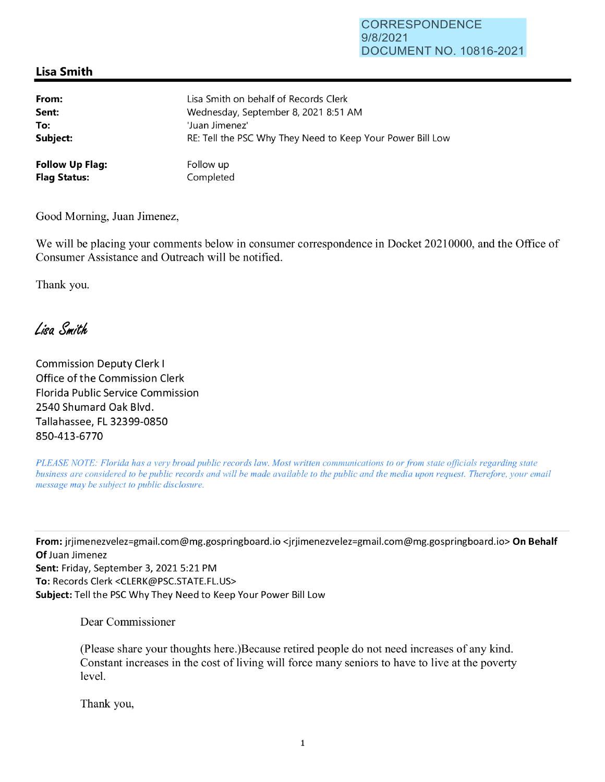## **Lisa Smith**

| From:                  | Lisa Smith on behalf of Records Clerk                      |
|------------------------|------------------------------------------------------------|
| Sent:                  | Wednesday, September 8, 2021 8:51 AM                       |
| To:                    | 'Juan Jimenez'                                             |
| Subject:               | RE: Tell the PSC Why They Need to Keep Your Power Bill Low |
| <b>Follow Up Flag:</b> | Follow up                                                  |
| <b>Flag Status:</b>    | Completed                                                  |

Good Morning, Juan Jimenez,

We will be placing your comments below in consumer correspondence **in** Docket 20210000, and the Office of Consumer Assistance and Outreach will be notified.

Thank you.

Lisa Smith

Commission Deputy Clerk I Office of the Commission Clerk Florida Public Service Commission 2540 Shumard Oak Blvd. Tallahassee, FL 32399-0850 850-413-6770

*PLEASE NOTE: Florida has a very broad public records law. Most written communications to or from state officials regarding state business are considered to be public records and will be made available to the public and the media upon request. Therefore, your email message may be subject to public disclosure.* 

**From:** jrjimenezvelez=gmail.com@mg.gospringboard.io <jrjimenezvelez=gmail.com@mg.gospringboard.io> **On Behalf Of** Juan Jimenez **Sent:** Friday, September 3, 2021 5:21 PM **To:** Records Clerk <CLERK@PSC.STATE.FL.US> **Subject:** Tell the PSC Why They Need to Keep Your Power Bill Low

Dear Commissioner

(Please share your thoughts here.)Because retired people do not need increases of any kind. Constant increases in the cost of living will force many seniors to have to live at the poverty level.

Thank you,